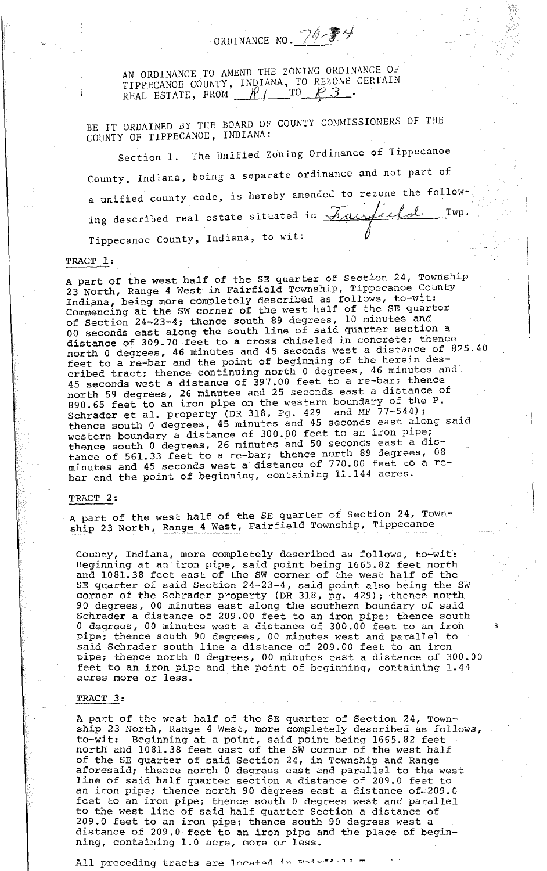AN ORDINANCE TO AMEND THE ZONING ORDINANCE OF TIPPECANOE COUNTY, INDIANA, TO REZONE CERTAIN<br>REAL ESTATE, FROM <u>MILLETO P3</u>

ORDINANCE NO.  $74.74$ 

BE IT ORDAINED BY THE BOARD OF COUNTY COMMISSIONERS OF THE COUNTY OF TIPPECANOE, INDIANA:

Section 1. The Unified Zoning Ordinance of Tippecanoe County, Indiana, being a separate ordinance and not part of a unified county code, is hereby amended to rezone the following described real estate situated in  $\pi_{\text{analytic}}$  Twp.<br>Tinnecance County Indiana to wit: Tippecanoe County, Indiana, to wit:

### TRACT 1:

A part of the west half of the SE quarter of Section 24, Township 23 North, Range 4 West in Fairfield Township, Tippecanoe County Indiana, being more completely described as follows, to-wit: Commencing at the SW corner of the west half of the SE quarter of Section 24-23-4; thence south 89 degrees, 10 minutes and 00 section 24.23.4, change beams with property section a distance of 309.70 feet to a cross chiseled in concrete; thence north 0 degrees, 46 minutes and 45 seconds west a distance of 825.40 feet to a re-bar and the point of beginning of the herein described tract; thence continuing north 0 degrees, 46 minutes and 45 seconds west a distance of 397.00 feet to a re-bar; thence north 59 degrees, 26 minutes and 25 seconds east a distance of 890.65 feet to an iron pipe on the western boundary of the P. Sehrader et al. property (DR 318, Pg. 429 and MF 77-544); schrauer et al. Property (Britis, 1986) and 45 seconds east along said western boundary a distance of 300.00 feet to an iron pipe; thence south 0 degrees, 26 minutes and 50 seconds east a distance of 561.33 feet to a re-bar; thence north 89 degrees, 08 minutes and 45 seconds west a distance of 770.00 feet to a rebar and the point of beginning, containing 11.144 acres.

#### TRACT 2:

A part of the west half of the SE quarter of Section 24, Township 23 North, Range 4 West, Fairfield Township, Tippecanoe

County, Indiana, more completely described as follows, to-wit: Beginning at an iron pipe, said point being 1665.82 feet north and 1081.38 feet east of the SW corner of the west half of the SE quarter of said Section 24-23-4, said point also being the SW corner of the Schrader property (DR 318, pg. 429); thence north 90 degrees, 00 minutes east along the southern boundary of said Schrader a distance of 209.00 feet to an iron *pipe;* thence south 0 degrees, 00 minutes west a distance of 300.00 feet to an iron s pipe; thence south 90 degrees, 00 minutes west and parallel to said Schrader south line a distance of 209.00 feet to an iron pipe; thence north 0 degrees, 00 minutes east a distance of 300.00 feet to an iron pipe and the point of beginning, containing 1.44 acres more or less.

### TRACT 3:

A part of the west half of the SE quarter of Section 24, Township 23 North, Range 4 West, more completely described as follows, to-wit: Beginning at a point, said point being 1665.82 feet north and 1081. 38 feet east of the SW corner of the west half of the SE quarter of said Section 24, in Township and Range aforesaid; thence north 0 degrees east and parallel to the west line of said half quarter section a distance of 209.0 feet to an iron pipe; thence north 90 degrees east a distance of 209.0 feet to an iron pipe; thence south 0 degrees west and parallel to the west line of said half quarter Section a distance of 209.0 feet to an iron pipe; thence south 90 degrees west a distance of 209.0 feet to an iron pipe and the place of beginning, containing 1.0 acre, more or less.

 $\mathcal{L} = \mathcal{L} \times \mathcal{L} \times \mathcal{L} \times \mathcal{L} \times \mathcal{L} \times \mathcal{L} \times \mathcal{L} \times \mathcal{L} \times \mathcal{L} \times \mathcal{L} \times \mathcal{L} \times \mathcal{L} \times \mathcal{L} \times \mathcal{L} \times \mathcal{L} \times \mathcal{L} \times \mathcal{L} \times \mathcal{L} \times \mathcal{L} \times \mathcal{L} \times \mathcal{L} \times \mathcal{L} \times \mathcal{L} \times \mathcal{L} \times \mathcal{L} \times \mathcal{L} \times \mathcal{L$